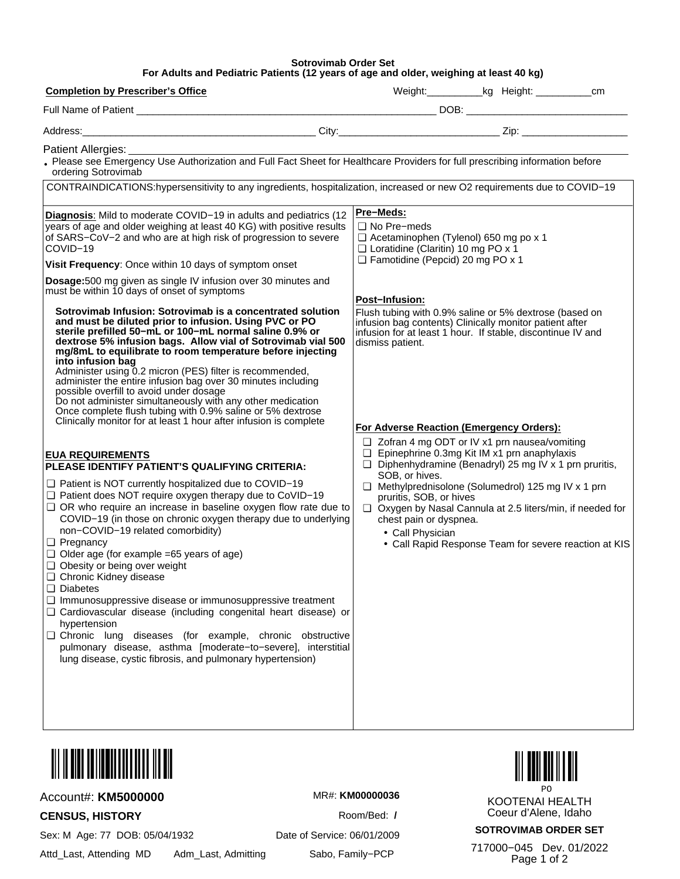## **Sotrovimab Order Set** For Adults and Pediatric Patients (12 years of age and older, weighing at least 40 kg)

| <b>Completion by Prescriber's Office</b>                                                                                                                                                                                                                                                                                                                                                                                                                                                                                                                                                                                                                                                                                                                                                                                                                                                | Weight: _____________kg Height: _______________cm                                                                                                                                                                                                                                                                                                                                                                                                |  |  |
|-----------------------------------------------------------------------------------------------------------------------------------------------------------------------------------------------------------------------------------------------------------------------------------------------------------------------------------------------------------------------------------------------------------------------------------------------------------------------------------------------------------------------------------------------------------------------------------------------------------------------------------------------------------------------------------------------------------------------------------------------------------------------------------------------------------------------------------------------------------------------------------------|--------------------------------------------------------------------------------------------------------------------------------------------------------------------------------------------------------------------------------------------------------------------------------------------------------------------------------------------------------------------------------------------------------------------------------------------------|--|--|
|                                                                                                                                                                                                                                                                                                                                                                                                                                                                                                                                                                                                                                                                                                                                                                                                                                                                                         |                                                                                                                                                                                                                                                                                                                                                                                                                                                  |  |  |
|                                                                                                                                                                                                                                                                                                                                                                                                                                                                                                                                                                                                                                                                                                                                                                                                                                                                                         |                                                                                                                                                                                                                                                                                                                                                                                                                                                  |  |  |
| Patient Allergies: <b>Example 2018</b>                                                                                                                                                                                                                                                                                                                                                                                                                                                                                                                                                                                                                                                                                                                                                                                                                                                  |                                                                                                                                                                                                                                                                                                                                                                                                                                                  |  |  |
| . Please see Emergency Use Authorization and Full Fact Sheet for Healthcare Providers for full prescribing information before<br>ordering Sotrovimab                                                                                                                                                                                                                                                                                                                                                                                                                                                                                                                                                                                                                                                                                                                                    |                                                                                                                                                                                                                                                                                                                                                                                                                                                  |  |  |
| CONTRAINDICATIONS:hypersensitivity to any ingredients, hospitalization, increased or new O2 requirements due to COVID-19                                                                                                                                                                                                                                                                                                                                                                                                                                                                                                                                                                                                                                                                                                                                                                |                                                                                                                                                                                                                                                                                                                                                                                                                                                  |  |  |
| Diagnosis: Mild to moderate COVID-19 in adults and pediatrics (12<br>years of age and older weighing at least 40 KG) with positive results<br>of SARS-CoV-2 and who are at high risk of progression to severe<br>COVID-19<br>Visit Frequency: Once within 10 days of symptom onset<br>Dosage: 500 mg given as single IV infusion over 30 minutes and<br>must be within 10 days of onset of symptoms                                                                                                                                                                                                                                                                                                                                                                                                                                                                                     | <b>Pre-Meds:</b><br>$\Box$ No Pre-meds<br>$\Box$ Acetaminophen (Tylenol) 650 mg po x 1<br>□ Loratidine (Claritin) 10 mg PO x 1<br>Famotidine (Pepcid) 20 mg PO x 1<br><b>Post-Infusion:</b>                                                                                                                                                                                                                                                      |  |  |
| Sotrovimab Infusion: Sotrovimab is a concentrated solution<br>and must be diluted prior to infusion. Using PVC or PO<br>sterile prefilled 50-mL or 100-mL normal saline 0.9% or<br>dextrose 5% infusion bags. Allow vial of Sotrovimab vial 500<br>mg/8mL to equilibrate to room temperature before injecting<br>into infusion bag<br>Administer using 0.2 micron (PES) filter is recommended,<br>administer the entire infusion bag over 30 minutes including<br>possible overfill to avoid under dosage<br>Do not administer simultaneously with any other medication<br>Once complete flush tubing with 0.9% saline or 5% dextrose<br>Clinically monitor for at least 1 hour after infusion is complete                                                                                                                                                                              | Flush tubing with 0.9% saline or 5% dextrose (based on<br>infusion bag contents) Clinically monitor patient after<br>infusion for at least 1 hour. If stable, discontinue IV and<br>dismiss patient.<br>For Adverse Reaction (Emergency Orders):                                                                                                                                                                                                 |  |  |
| <b>EUA REQUIREMENTS</b><br>PLEASE IDENTIFY PATIENT'S QUALIFYING CRITERIA:<br>$\Box$ Patient is NOT currently hospitalized due to COVID-19<br>□ Patient does NOT require oxygen therapy due to CoVID-19<br>$\Box$ OR who require an increase in baseline oxygen flow rate due to<br>COVID-19 (in those on chronic oxygen therapy due to underlying<br>non-COVID-19 related comorbidity)<br>$\Box$ Pregnancy<br>$\Box$ Older age (for example =65 years of age)<br>□ Obesity or being over weight<br>Chronic Kidney disease<br>$\Box$ Diabetes<br>Immunosuppressive disease or immunosuppressive treatment<br>□ Cardiovascular disease (including congenital heart disease) or<br>hypertension<br>□ Chronic lung diseases (for example, chronic obstructive<br>pulmonary disease, asthma [moderate-to-severe], interstitial<br>lung disease, cystic fibrosis, and pulmonary hypertension) | $\Box$ Zofran 4 mg ODT or IV x1 prn nausea/vomiting<br>□ Epinephrine 0.3mg Kit IM x1 prn anaphylaxis<br>$\Box$ Diphenhydramine (Benadryl) 25 mg IV x 1 prn pruritis,<br>SOB, or hives.<br>$\Box$ Methylprednisolone (Solumedrol) 125 mg IV x 1 prn<br>pruritis, SOB, or hives<br>Oxygen by Nasal Cannula at 2.5 liters/min, if needed for<br>chest pain or dyspnea.<br>• Call Physician<br>• Call Rapid Response Team for severe reaction at KIS |  |  |



## Account#: KM5000000

**CENSUS, HISTORY** 

Sex: M Age: 77 DOB: 05/04/1932

Attd\_Last, Attending MD Adm\_Last, Admitting MR#: KM00000036

Room/Bed: / Date of Service: 06/01/2009



**KOOTENAI HEALTH** Coeur d'Alene, Idaho

**SOTROVIMAB ORDER SET** 

717000-045 Dev. 01/2022 Page 1 of 2

Sabo, Family-PCP